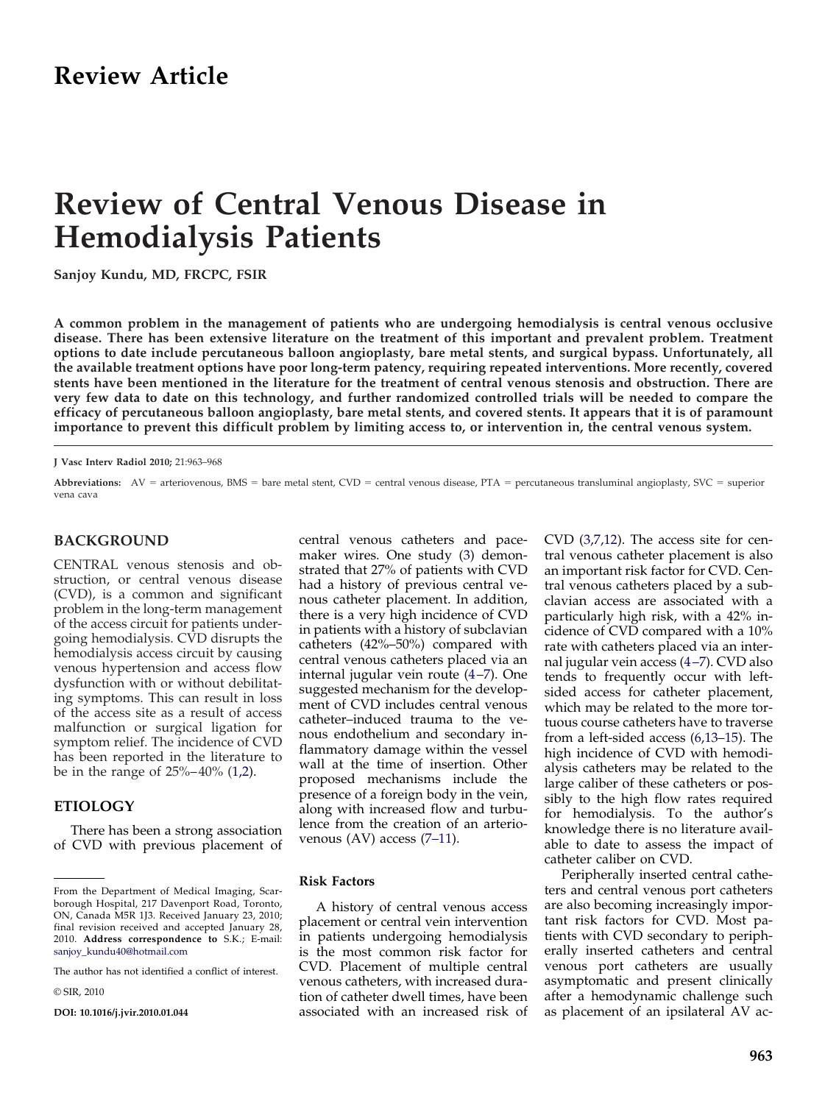# **Review of Central Venous Disease in Hemodialysis Patients**

**Sanjoy Kundu, MD, FRCPC, FSIR**

**A common problem in the management of patients who are undergoing hemodialysis is central venous occlusive disease. There has been extensive literature on the treatment of this important and prevalent problem. Treatment options to date include percutaneous balloon angioplasty, bare metal stents, and surgical bypass. Unfortunately, all the available treatment options have poor long-term patency, requiring repeated interventions. More recently, covered stents have been mentioned in the literature for the treatment of central venous stenosis and obstruction. There are very few data to date on this technology, and further randomized controlled trials will be needed to compare the efficacy of percutaneous balloon angioplasty, bare metal stents, and covered stents. It appears that it is of paramount importance to prevent this difficult problem by limiting access to, or intervention in, the central venous system.**

**J Vasc Interv Radiol 2010;** 21:963–968

Abbreviations: AV = arteriovenous, BMS = bare metal stent, CVD = central venous disease, PTA = percutaneous transluminal angioplasty, SVC = superior vena cava

## **BACKGROUND**

CENTRAL venous stenosis and obstruction, or central venous disease (CVD), is a common and significant problem in the long-term management of the access circuit for patients undergoing hemodialysis. CVD disrupts the hemodialysis access circuit by causing venous hypertension and access flow dysfunction with or without debilitating symptoms. This can result in loss of the access site as a result of access malfunction or surgical ligation for symptom relief. The incidence of CVD has been reported in the literature to be in the range of 25%– 40% [\(1,2\)](#page-3-0).

## **ETIOLOGY**

There has been a strong association of CVD with previous placement of

© SIR, 2010

**DOI: 10.1016/j.jvir.2010.01.044**

central venous catheters and pacemaker wires. One study [\(3\)](#page-3-0) demonstrated that 27% of patients with CVD had a history of previous central venous catheter placement. In addition, there is a very high incidence of CVD in patients with a history of subclavian catheters (42%–50%) compared with central venous catheters placed via an internal jugular vein route (4–7). One suggested mechanism for the development of CVD includes central venous catheter–induced trauma to the venous endothelium and secondary inflammatory damage within the vessel wall at the time of insertion. Other proposed mechanisms include the presence of a foreign body in the vein, along with increased flow and turbulence from the creation of an arteriovenous (AV) access [\(7–11\)](#page-3-0).

#### **Risk Factors**

A history of central venous access placement or central vein intervention in patients undergoing hemodialysis is the most common risk factor for CVD. Placement of multiple central venous catheters, with increased duration of catheter dwell times, have been associated with an increased risk of

CVD [\(3,7,12\)](#page-3-0). The access site for central venous catheter placement is also an important risk factor for CVD. Central venous catheters placed by a subclavian access are associated with a particularly high risk, with a 42% incidence of CVD compared with a 10% rate with catheters placed via an internal jugular vein access [\(4 –7\)](#page-3-0). CVD also tends to frequently occur with leftsided access for catheter placement, which may be related to the more tortuous course catheters have to traverse from a left-sided access [\(6,13–15\)](#page-3-0). The high incidence of CVD with hemodialysis catheters may be related to the large caliber of these catheters or possibly to the high flow rates required for hemodialysis. To the author's knowledge there is no literature available to date to assess the impact of catheter caliber on CVD.

Peripherally inserted central catheters and central venous port catheters are also becoming increasingly important risk factors for CVD. Most patients with CVD secondary to peripherally inserted catheters and central venous port catheters are usually asymptomatic and present clinically after a hemodynamic challenge such as placement of an ipsilateral AV ac-

From the Department of Medical Imaging, Scarborough Hospital, 217 Davenport Road, Toronto, ON, Canada M5R 1J3. Received January 23, 2010; final revision received and accepted January 28, 2010. **Address correspondence to** S.K.; E-mail: [sanjoy\\_kundu40@hotmail.com](mailto:sanjoy_kundu40@hotmail.com)

The author has not identified a conflict of interest.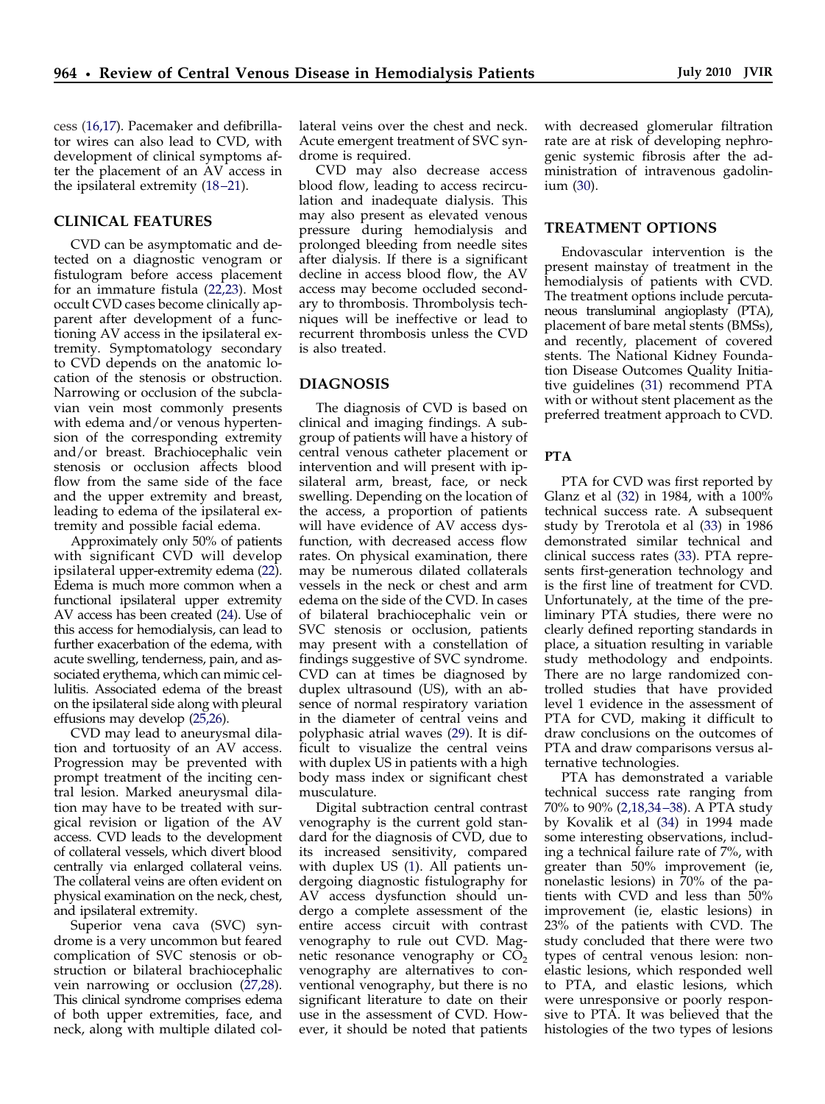cess [\(16,17\)](#page-4-0). Pacemaker and defibrillator wires can also lead to CVD, with development of clinical symptoms after the placement of an AV access in the ipsilateral extremity [\(18 –21\)](#page-4-0).

# **CLINICAL FEATURES**

CVD can be asymptomatic and detected on a diagnostic venogram or fistulogram before access placement for an immature fistula [\(22,23\)](#page-4-0). Most occult CVD cases become clinically apparent after development of a functioning AV access in the ipsilateral extremity. Symptomatology secondary to CVD depends on the anatomic location of the stenosis or obstruction. Narrowing or occlusion of the subclavian vein most commonly presents with edema and/or venous hypertension of the corresponding extremity and/or breast. Brachiocephalic vein stenosis or occlusion affects blood flow from the same side of the face and the upper extremity and breast, leading to edema of the ipsilateral extremity and possible facial edema.

Approximately only 50% of patients with significant CVD will develop ipsilateral upper-extremity edema [\(22\)](#page-4-0). Edema is much more common when a functional ipsilateral upper extremity AV access has been created [\(24\)](#page-4-0). Use of this access for hemodialysis, can lead to further exacerbation of the edema, with acute swelling, tenderness, pain, and associated erythema, which can mimic cellulitis. Associated edema of the breast on the ipsilateral side along with pleural effusions may develop [\(25,26\)](#page-4-0).

CVD may lead to aneurysmal dilation and tortuosity of an AV access. Progression may be prevented with prompt treatment of the inciting central lesion. Marked aneurysmal dilation may have to be treated with surgical revision or ligation of the AV access. CVD leads to the development of collateral vessels, which divert blood centrally via enlarged collateral veins. The collateral veins are often evident on physical examination on the neck, chest, and ipsilateral extremity.

Superior vena cava (SVC) syndrome is a very uncommon but feared complication of SVC stenosis or obstruction or bilateral brachiocephalic vein narrowing or occlusion [\(27,28\)](#page-4-0). This clinical syndrome comprises edema of both upper extremities, face, and neck, along with multiple dilated collateral veins over the chest and neck. Acute emergent treatment of SVC syndrome is required.

CVD may also decrease access blood flow, leading to access recirculation and inadequate dialysis. This may also present as elevated venous pressure during hemodialysis and prolonged bleeding from needle sites after dialysis. If there is a significant decline in access blood flow, the AV access may become occluded secondary to thrombosis. Thrombolysis techniques will be ineffective or lead to recurrent thrombosis unless the CVD is also treated.

## **DIAGNOSIS**

The diagnosis of CVD is based on clinical and imaging findings. A subgroup of patients will have a history of central venous catheter placement or intervention and will present with ipsilateral arm, breast, face, or neck swelling. Depending on the location of the access, a proportion of patients will have evidence of AV access dysfunction, with decreased access flow rates. On physical examination, there may be numerous dilated collaterals vessels in the neck or chest and arm edema on the side of the CVD. In cases of bilateral brachiocephalic vein or SVC stenosis or occlusion, patients may present with a constellation of findings suggestive of SVC syndrome. CVD can at times be diagnosed by duplex ultrasound (US), with an absence of normal respiratory variation in the diameter of central veins and polyphasic atrial waves [\(29\)](#page-4-0). It is difficult to visualize the central veins with duplex US in patients with a high body mass index or significant chest musculature.

Digital subtraction central contrast venography is the current gold standard for the diagnosis of CVD, due to its increased sensitivity, compared with duplex US [\(1\)](#page-3-0). All patients undergoing diagnostic fistulography for AV access dysfunction should undergo a complete assessment of the entire access circuit with contrast venography to rule out CVD. Magnetic resonance venography or  $CO<sub>2</sub>$ venography are alternatives to conventional venography, but there is no significant literature to date on their use in the assessment of CVD. However, it should be noted that patients

with decreased glomerular filtration rate are at risk of developing nephrogenic systemic fibrosis after the administration of intravenous gadolinium [\(30\)](#page-4-0).

## **TREATMENT OPTIONS**

Endovascular intervention is the present mainstay of treatment in the hemodialysis of patients with CVD. The treatment options include percutaneous transluminal angioplasty (PTA), placement of bare metal stents (BMSs), and recently, placement of covered stents. The National Kidney Foundation Disease Outcomes Quality Initiative guidelines [\(31\)](#page-4-0) recommend PTA with or without stent placement as the preferred treatment approach to CVD.

#### **PTA**

PTA for CVD was first reported by Glanz et al [\(32\)](#page-4-0) in 1984, with a 100% technical success rate. A subsequent study by Trerotola et al [\(33\)](#page-4-0) in 1986 demonstrated similar technical and clinical success rates [\(33\)](#page-4-0). PTA represents first-generation technology and is the first line of treatment for CVD. Unfortunately, at the time of the preliminary PTA studies, there were no clearly defined reporting standards in place, a situation resulting in variable study methodology and endpoints. There are no large randomized controlled studies that have provided level 1 evidence in the assessment of PTA for CVD, making it difficult to draw conclusions on the outcomes of PTA and draw comparisons versus alternative technologies.

PTA has demonstrated a variable technical success rate ranging from 70% to 90% [\(2,18,34 –38\)](#page-3-0). A PTA study by Kovalik et al [\(34\)](#page-4-0) in 1994 made some interesting observations, including a technical failure rate of 7%, with greater than 50% improvement (ie, nonelastic lesions) in 70% of the patients with CVD and less than 50% improvement (ie, elastic lesions) in 23% of the patients with CVD. The study concluded that there were two types of central venous lesion: nonelastic lesions, which responded well to PTA, and elastic lesions, which were unresponsive or poorly responsive to PTA. It was believed that the histologies of the two types of lesions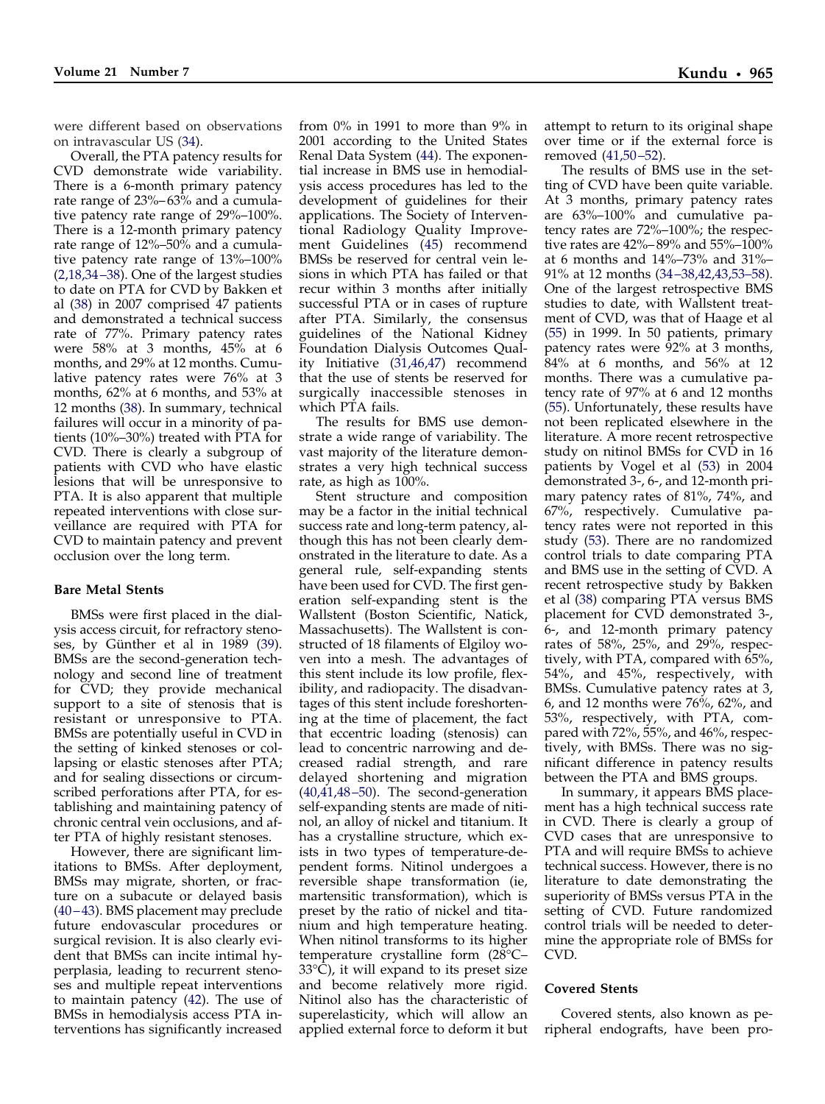were different based on observations on intravascular US [\(34\)](#page-4-0).

Overall, the PTA patency results for CVD demonstrate wide variability. There is a 6-month primary patency rate range of 23%– 63% and a cumulative patency rate range of 29%–100%. There is a 12-month primary patency rate range of 12%–50% and a cumulative patency rate range of 13%–100% [\(2,18,34 –38\)](#page-3-0). One of the largest studies to date on PTA for CVD by Bakken et al [\(38\)](#page-4-0) in 2007 comprised 47 patients and demonstrated a technical success rate of 77%. Primary patency rates were 58% at 3 months, 45% at 6 months, and 29% at 12 months. Cumulative patency rates were 76% at 3 months, 62% at 6 months, and 53% at 12 months [\(38\)](#page-4-0). In summary, technical failures will occur in a minority of patients (10%–30%) treated with PTA for CVD. There is clearly a subgroup of patients with CVD who have elastic lesions that will be unresponsive to PTA. It is also apparent that multiple repeated interventions with close surveillance are required with PTA for CVD to maintain patency and prevent occlusion over the long term.

## **Bare Metal Stents**

BMSs were first placed in the dialysis access circuit, for refractory steno-ses, by Günther et al in 1989 [\(39\)](#page-4-0). BMSs are the second-generation technology and second line of treatment for CVD; they provide mechanical support to a site of stenosis that is resistant or unresponsive to PTA. BMSs are potentially useful in CVD in the setting of kinked stenoses or collapsing or elastic stenoses after PTA; and for sealing dissections or circumscribed perforations after PTA, for establishing and maintaining patency of chronic central vein occlusions, and after PTA of highly resistant stenoses.

However, there are significant limitations to BMSs. After deployment, BMSs may migrate, shorten, or fracture on a subacute or delayed basis [\(40 – 43\)](#page-4-0). BMS placement may preclude future endovascular procedures or surgical revision. It is also clearly evident that BMSs can incite intimal hyperplasia, leading to recurrent stenoses and multiple repeat interventions to maintain patency [\(42\)](#page-4-0). The use of BMSs in hemodialysis access PTA interventions has significantly increased

from 0% in 1991 to more than 9% in 2001 according to the United States Renal Data System [\(44\)](#page-4-0). The exponential increase in BMS use in hemodialysis access procedures has led to the development of guidelines for their applications. The Society of Interventional Radiology Quality Improvement Guidelines [\(45\)](#page-4-0) recommend BMSs be reserved for central vein lesions in which PTA has failed or that recur within 3 months after initially successful PTA or in cases of rupture after PTA. Similarly, the consensus guidelines of the National Kidney Foundation Dialysis Outcomes Quality Initiative [\(31,46,47\)](#page-4-0) recommend that the use of stents be reserved for surgically inaccessible stenoses in which PTA fails.

The results for BMS use demonstrate a wide range of variability. The vast majority of the literature demonstrates a very high technical success rate, as high as 100%.

Stent structure and composition may be a factor in the initial technical success rate and long-term patency, although this has not been clearly demonstrated in the literature to date. As a general rule, self-expanding stents have been used for CVD. The first generation self-expanding stent is the Wallstent (Boston Scientific, Natick, Massachusetts). The Wallstent is constructed of 18 filaments of Elgiloy woven into a mesh. The advantages of this stent include its low profile, flexibility, and radiopacity. The disadvantages of this stent include foreshortening at the time of placement, the fact that eccentric loading (stenosis) can lead to concentric narrowing and decreased radial strength, and rare delayed shortening and migration [\(40,41,48 –50\)](#page-4-0). The second-generation self-expanding stents are made of nitinol, an alloy of nickel and titanium. It has a crystalline structure, which exists in two types of temperature-dependent forms. Nitinol undergoes a reversible shape transformation (ie, martensitic transformation), which is preset by the ratio of nickel and titanium and high temperature heating. When nitinol transforms to its higher temperature crystalline form (28°C–  $33^{\circ}\text{C}$ , it will expand to its preset size and become relatively more rigid. Nitinol also has the characteristic of superelasticity, which will allow an applied external force to deform it but

attempt to return to its original shape over time or if the external force is removed [\(41,50 –52\)](#page-4-0).

The results of BMS use in the setting of CVD have been quite variable. At 3 months, primary patency rates are 63%–100% and cumulative patency rates are 72%–100%; the respective rates are 42%– 89% and 55%–100% at 6 months and 14%–73% and 31%– 91% at 12 months [\(34 –38,42,43,53–58\)](#page-4-0). One of the largest retrospective BMS studies to date, with Wallstent treatment of CVD, was that of Haage et al [\(55\)](#page-5-0) in 1999. In 50 patients, primary patency rates were 92% at 3 months, 84% at 6 months, and 56% at 12 months. There was a cumulative patency rate of 97% at 6 and 12 months [\(55\)](#page-5-0). Unfortunately, these results have not been replicated elsewhere in the literature. A more recent retrospective study on nitinol BMSs for CVD in 16 patients by Vogel et al [\(53\)](#page-5-0) in 2004 demonstrated 3-, 6-, and 12-month primary patency rates of 81%, 74%, and 67%, respectively. Cumulative patency rates were not reported in this study [\(53\)](#page-5-0). There are no randomized control trials to date comparing PTA and BMS use in the setting of CVD. A recent retrospective study by Bakken et al [\(38\)](#page-4-0) comparing PTA versus BMS placement for CVD demonstrated 3-, 6-, and 12-month primary patency rates of 58%, 25%, and 29%, respectively, with PTA, compared with 65%, 54%, and 45%, respectively, with BMSs. Cumulative patency rates at 3, 6, and 12 months were  $76\%$ ,  $62\%$ , and 53%, respectively, with PTA, compared with 72%, 55%, and 46%, respectively, with BMSs. There was no significant difference in patency results between the PTA and BMS groups.

In summary, it appears BMS placement has a high technical success rate in CVD. There is clearly a group of CVD cases that are unresponsive to PTA and will require BMSs to achieve technical success. However, there is no literature to date demonstrating the superiority of BMSs versus PTA in the setting of CVD. Future randomized control trials will be needed to determine the appropriate role of BMSs for CVD.

#### **Covered Stents**

Covered stents, also known as peripheral endografts, have been pro-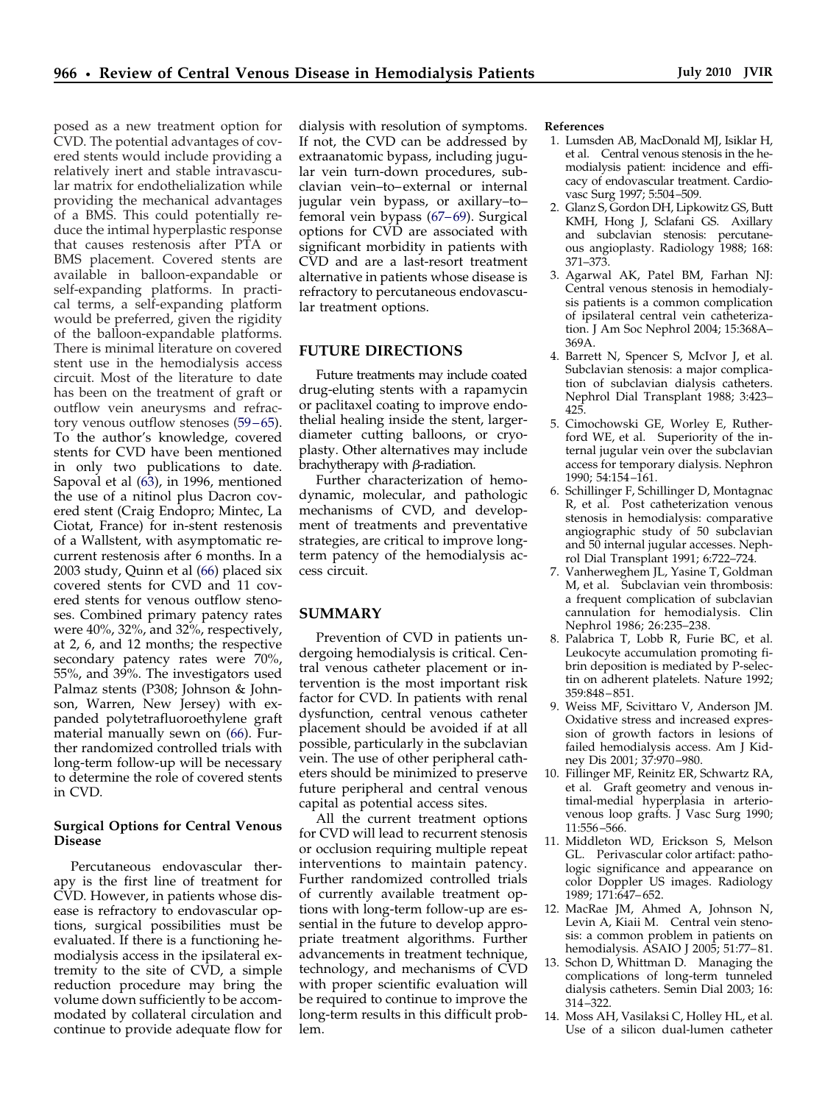<span id="page-3-0"></span>posed as a new treatment option for CVD. The potential advantages of covered stents would include providing a relatively inert and stable intravascular matrix for endothelialization while providing the mechanical advantages of a BMS. This could potentially reduce the intimal hyperplastic response that causes restenosis after PTA or BMS placement. Covered stents are available in balloon-expandable or self-expanding platforms. In practical terms, a self-expanding platform would be preferred, given the rigidity of the balloon-expandable platforms. There is minimal literature on covered stent use in the hemodialysis access circuit. Most of the literature to date has been on the treatment of graft or outflow vein aneurysms and refractory venous outflow stenoses (59–65). To the author's knowledge, covered stents for CVD have been mentioned in only two publications to date. Sapoval et al [\(63\)](#page-5-0), in 1996, mentioned the use of a nitinol plus Dacron covered stent (Craig Endopro; Mintec, La Ciotat, France) for in-stent restenosis of a Wallstent, with asymptomatic recurrent restenosis after 6 months. In a 2003 study, Quinn et al [\(66\)](#page-5-0) placed six covered stents for CVD and 11 covered stents for venous outflow stenoses. Combined primary patency rates were 40%, 32%, and 32%, respectively, at 2, 6, and 12 months; the respective secondary patency rates were 70%, 55%, and 39%. The investigators used Palmaz stents (P308; Johnson & Johnson, Warren, New Jersey) with expanded polytetrafluoroethylene graft material manually sewn on [\(66\)](#page-5-0). Further randomized controlled trials with long-term follow-up will be necessary to determine the role of covered stents in CVD.

#### **Surgical Options for Central Venous Disease**

Percutaneous endovascular therapy is the first line of treatment for CVD. However, in patients whose disease is refractory to endovascular options, surgical possibilities must be evaluated. If there is a functioning hemodialysis access in the ipsilateral extremity to the site of CVD, a simple reduction procedure may bring the volume down sufficiently to be accommodated by collateral circulation and continue to provide adequate flow for

dialysis with resolution of symptoms. If not, the CVD can be addressed by extraanatomic bypass, including jugular vein turn-down procedures, subclavian vein–to– external or internal jugular vein bypass, or axillary–to– femoral vein bypass (67–69). Surgical options for CVD are associated with significant morbidity in patients with CVD and are a last-resort treatment alternative in patients whose disease is refractory to percutaneous endovascular treatment options.

#### **FUTURE DIRECTIONS**

Future treatments may include coated drug-eluting stents with a rapamycin or paclitaxel coating to improve endothelial healing inside the stent, largerdiameter cutting balloons, or cryoplasty. Other alternatives may include brachytherapy with  $\beta$ -radiation.

Further characterization of hemodynamic, molecular, and pathologic mechanisms of CVD, and development of treatments and preventative strategies, are critical to improve longterm patency of the hemodialysis access circuit.

## **SUMMARY**

Prevention of CVD in patients undergoing hemodialysis is critical. Central venous catheter placement or intervention is the most important risk factor for CVD. In patients with renal dysfunction, central venous catheter placement should be avoided if at all possible, particularly in the subclavian vein. The use of other peripheral catheters should be minimized to preserve future peripheral and central venous capital as potential access sites.

All the current treatment options for CVD will lead to recurrent stenosis or occlusion requiring multiple repeat interventions to maintain patency. Further randomized controlled trials of currently available treatment options with long-term follow-up are essential in the future to develop appropriate treatment algorithms. Further advancements in treatment technique, technology, and mechanisms of CVD with proper scientific evaluation will be required to continue to improve the long-term results in this difficult problem.

#### **References**

- 1. Lumsden AB, MacDonald MJ, Isiklar H, et al. Central venous stenosis in the hemodialysis patient: incidence and efficacy of endovascular treatment. Cardiovasc Surg 1997; 5:504 –509.
- 2. Glanz S, Gordon DH, Lipkowitz GS, Butt KMH, Hong J, Sclafani GS. Axillary and subclavian stenosis: percutaneous angioplasty. Radiology 1988; 168: 371–373.
- 3. Agarwal AK, Patel BM, Farhan NJ: Central venous stenosis in hemodialysis patients is a common complication of ipsilateral central vein catheterization. J Am Soc Nephrol 2004; 15:368A– 369A.
- 4. Barrett N, Spencer S, McIvor J, et al. Subclavian stenosis: a major complication of subclavian dialysis catheters. Nephrol Dial Transplant 1988; 3:423– 425.
- 5. Cimochowski GE, Worley E, Rutherford WE, et al. Superiority of the internal jugular vein over the subclavian access for temporary dialysis. Nephron 1990; 54:154 –161.
- 6. Schillinger F, Schillinger D, Montagnac R, et al. Post catheterization venous stenosis in hemodialysis: comparative angiographic study of 50 subclavian and 50 internal jugular accesses. Nephrol Dial Transplant 1991; 6:722–724.
- 7. Vanherweghem JL, Yasine T, Goldman M, et al. Subclavian vein thrombosis: a frequent complication of subclavian cannulation for hemodialysis. Clin Nephrol 1986; 26:235–238.
- 8. Palabrica T, Lobb R, Furie BC, et al. Leukocyte accumulation promoting fibrin deposition is mediated by P-selectin on adherent platelets. Nature 1992; 359:848 – 851.
- 9. Weiss MF, Scivittaro V, Anderson JM. Oxidative stress and increased expression of growth factors in lesions of failed hemodialysis access. Am J Kidney Dis 2001; 37:970 –980.
- 10. Fillinger MF, Reinitz ER, Schwartz RA, et al. Graft geometry and venous intimal-medial hyperplasia in arteriovenous loop grafts. J Vasc Surg 1990; 11:556 –566.
- 11. Middleton WD, Erickson S, Melson GL. Perivascular color artifact: pathologic significance and appearance on color Doppler US images. Radiology 1989; 171:647– 652.
- 12. MacRae JM, Ahmed A, Johnson N, Levin A, Kiaii M. Central vein stenosis: a common problem in patients on hemodialysis. ASAIO J 2005; 51:77-81.
- 13. Schon D, Whittman D. Managing the complications of long-term tunneled dialysis catheters. Semin Dial 2003; 16: 314 –322.
- 14. Moss AH, Vasilaksi C, Holley HL, et al. Use of a silicon dual-lumen catheter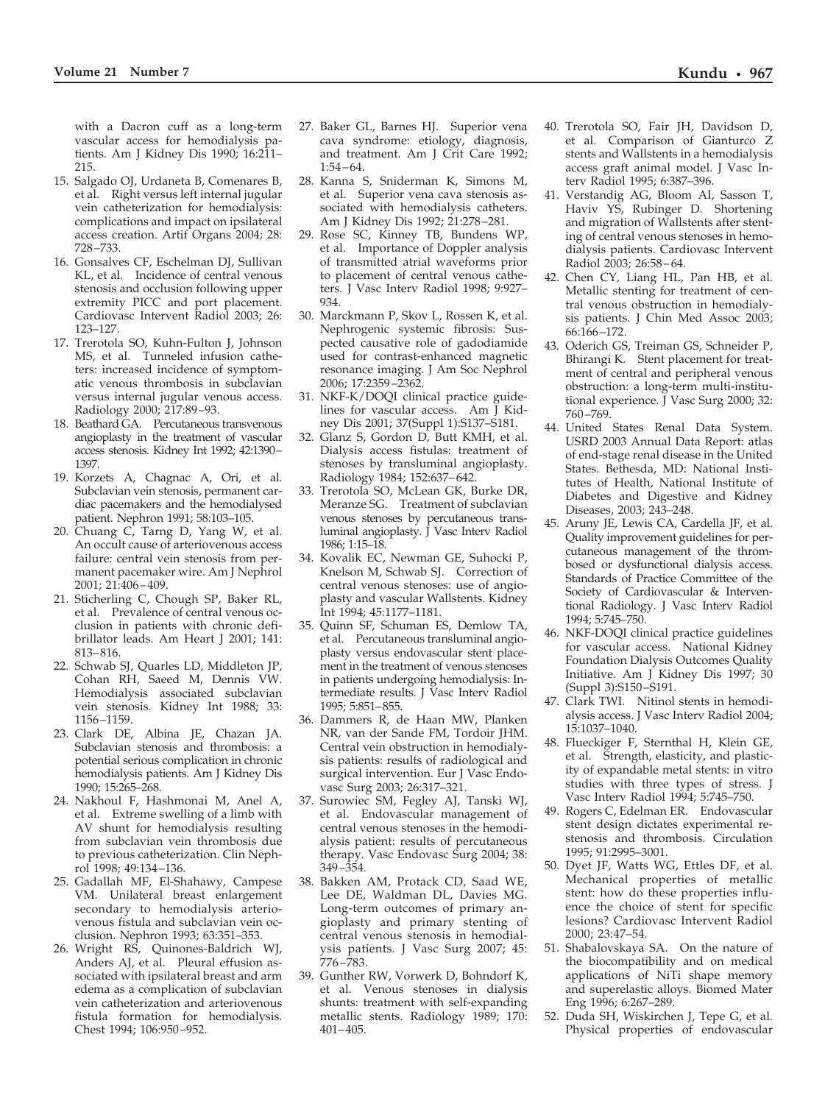<span id="page-4-0"></span>with a Dacron cuff as a long-term vascular access for hemodialysis patients. Am J Kidney Dis 1990; 16:211– 215.

- 15. Salgado OJ, Urdaneta B, Comenares B, et al. Right versus left internal jugular vein catheterization for hemodialysis: complications and impact on ipsilateral access creation. Artif Organs 2004; 28: 728 –733.
- 16. Gonsalves CF, Eschelman DJ, Sullivan KL, et al. Incidence of central venous stenosis and occlusion following upper extremity PICC and port placement. Cardiovasc Intervent Radiol 2003; 26: 123–127.
- 17. Trerotola SO, Kuhn-Fulton J, Johnson MS, et al. Tunneled infusion catheters: increased incidence of symptomatic venous thrombosis in subclavian versus internal jugular venous access. Radiology 2000; 217:89 –93.
- 18. Beathard GA. Percutaneous transvenous angioplasty in the treatment of vascular access stenosis. Kidney Int 1992; 42:1390– 1397.
- 19. Korzets A, Chagnac A, Ori, et al. Subclavian vein stenosis, permanent cardiac pacemakers and the hemodialysed patient. Nephron 1991; 58:103–105.
- 20. Chuang C, Tarng D, Yang W, et al. An occult cause of arteriovenous access failure: central vein stenosis from permanent pacemaker wire. Am J Nephrol 2001; 21:406 – 409.
- 21. Sticherling C, Chough SP, Baker RL, et al. Prevalence of central venous occlusion in patients with chronic defibrillator leads. Am Heart J 2001; 141: 813– 816.
- 22. Schwab SJ, Quarles LD, Middleton JP, Cohan RH, Saeed M, Dennis VW. Hemodialysis associated subclavian vein stenosis. Kidney Int 1988; 33: 1156 –1159.
- 23. Clark DE, Albina JE, Chazan JA. Subclavian stenosis and thrombosis: a potential serious complication in chronic hemodialysis patients. Am J Kidney Dis 1990; 15:265–268.
- 24. Nakhoul F, Hashmonai M, Anel A, et al. Extreme swelling of a limb with AV shunt for hemodialysis resulting from subclavian vein thrombosis due to previous catheterization. Clin Nephrol 1998; 49:134 –136.
- 25. Gadallah MF, El-Shahawy, Campese VM. Unilateral breast enlargement secondary to hemodialysis arteriovenous fistula and subclavian vein occlusion. Nephron 1993; 63:351–353.
- 26. Wright RS, Quinones-Baldrich WJ, Anders AJ, et al. Pleural effusion associated with ipsilateral breast and arm edema as a complication of subclavian vein catheterization and arteriovenous fistula formation for hemodialysis. Chest 1994; 106:950 –952.
- 27. Baker GL, Barnes HJ. Superior vena cava syndrome: etiology, diagnosis, and treatment. Am J Crit Care 1992;  $1:54 - 64.$
- 28. Kanna S, Sniderman K, Simons M, et al. Superior vena cava stenosis associated with hemodialysis catheters. Am J Kidney Dis 1992; 21:278 –281.
- 29. Rose SC, Kinney TB, Bundens WP, et al. Importance of Doppler analysis of transmitted atrial waveforms prior to placement of central venous catheters. J Vasc Interv Radiol 1998; 9:927– 934.
- 30. Marckmann P, Skov L, Rossen K, et al. Nephrogenic systemic fibrosis: Suspected causative role of gadodiamide used for contrast-enhanced magnetic resonance imaging. J Am Soc Nephrol 2006; 17:2359 –2362.
- 31. NKF-K/DOQI clinical practice guidelines for vascular access. Am J Kidney Dis 2001; 37(Suppl 1):S137–S181.
- 32. Glanz S, Gordon D, Butt KMH, et al. Dialysis access fistulas: treatment of stenoses by transluminal angioplasty. Radiology 1984; 152:637– 642.
- 33. Trerotola SO, McLean GK, Burke DR, Meranze SG. Treatment of subclavian venous stenoses by percutaneous transluminal angioplasty. J Vasc Interv Radiol 1986; 1:15–18.
- 34. Kovalik EC, Newman GE, Suhocki P, Knelson M, Schwab SJ. Correction of central venous stenoses: use of angioplasty and vascular Wallstents. Kidney Int 1994; 45:1177–1181.
- 35. Quinn SF, Schuman ES, Demlow TA, et al. Percutaneous transluminal angioplasty versus endovascular stent placement in the treatment of venous stenoses in patients undergoing hemodialysis: Intermediate results. J Vasc Interv Radiol 1995; 5:851– 855.
- 36. Dammers R, de Haan MW, Planken NR, van der Sande FM, Tordoir JHM. Central vein obstruction in hemodialysis patients: results of radiological and surgical intervention. Eur J Vasc Endovasc Surg 2003; 26:317–321.
- 37. Surowiec SM, Fegley AJ, Tanski WJ, et al. Endovascular management of central venous stenoses in the hemodialysis patient: results of percutaneous therapy. Vasc Endovasc Surg 2004; 38: 349 –354.
- 38. Bakken AM, Protack CD, Saad WE, Lee DE, Waldman DL, Davies MG. Long-term outcomes of primary angioplasty and primary stenting of central venous stenosis in hemodialysis patients. J Vasc Surg 2007; 45: 776 –783.
- 39. Gunther RW, Vorwerk D, Bohndorf K, et al. Venous stenoses in dialysis shunts: treatment with self-expanding metallic stents. Radiology 1989; 170: 401– 405.
- 40. Trerotola SO, Fair JH, Davidson D, et al. Comparison of Gianturco Z stents and Wallstents in a hemodialysis access graft animal model. J Vasc Interv Radiol 1995; 6:387–396.
- 41. Verstandig AG, Bloom AI, Sasson T, Haviv YS, Rubinger D. Shortening and migration of Wallstents after stenting of central venous stenoses in hemodialysis patients. Cardiovasc Intervent Radiol 2003; 26:58 – 64.
- 42. Chen CY, Liang HL, Pan HB, et al. Metallic stenting for treatment of central venous obstruction in hemodialysis patients. J Chin Med Assoc 2003; 66:166 –172.
- 43. Oderich GS, Treiman GS, Schneider P, Bhirangi K. Stent placement for treatment of central and peripheral venous obstruction: a long-term multi-institutional experience. J Vasc Surg 2000; 32: 760 –769.
- 44. United States Renal Data System. USRD 2003 Annual Data Report: atlas of end-stage renal disease in the United States. Bethesda, MD: National Institutes of Health, National Institute of Diabetes and Digestive and Kidney Diseases, 2003; 243–248.
- 45. Aruny JE, Lewis CA, Cardella JF, et al. Quality improvement guidelines for percutaneous management of the thrombosed or dysfunctional dialysis access. Standards of Practice Committee of the Society of Cardiovascular & Interventional Radiology. J Vasc Interv Radiol 1994; 5:745–750.
- 46. NKF-DOQI clinical practice guidelines for vascular access. National Kidney Foundation Dialysis Outcomes Quality Initiative. Am J Kidney Dis 1997; 30 (Suppl 3):S150 –S191.
- 47. Clark TWI. Nitinol stents in hemodialysis access. J Vasc Interv Radiol 2004; 15:1037–1040.
- 48. Flueckiger F, Sternthal H, Klein GE, et al. Strength, elasticity, and plasticity of expandable metal stents: in vitro studies with three types of stress. J Vasc Interv Radiol 1994; 5:745–750.
- 49. Rogers C, Edelman ER. Endovascular stent design dictates experimental restenosis and thrombosis. Circulation 1995; 91:2995–3001.
- 50. Dyet JF, Watts WG, Ettles DF, et al. Mechanical properties of metallic stent: how do these properties influence the choice of stent for specific lesions? Cardiovasc Intervent Radiol 2000; 23:47–54.
- 51. Shabalovskaya SA. On the nature of the biocompatibility and on medical applications of NiTi shape memory and superelastic alloys. Biomed Mater Eng 1996; 6:267–289.
- 52. Duda SH, Wiskirchen J, Tepe G, et al. Physical properties of endovascular